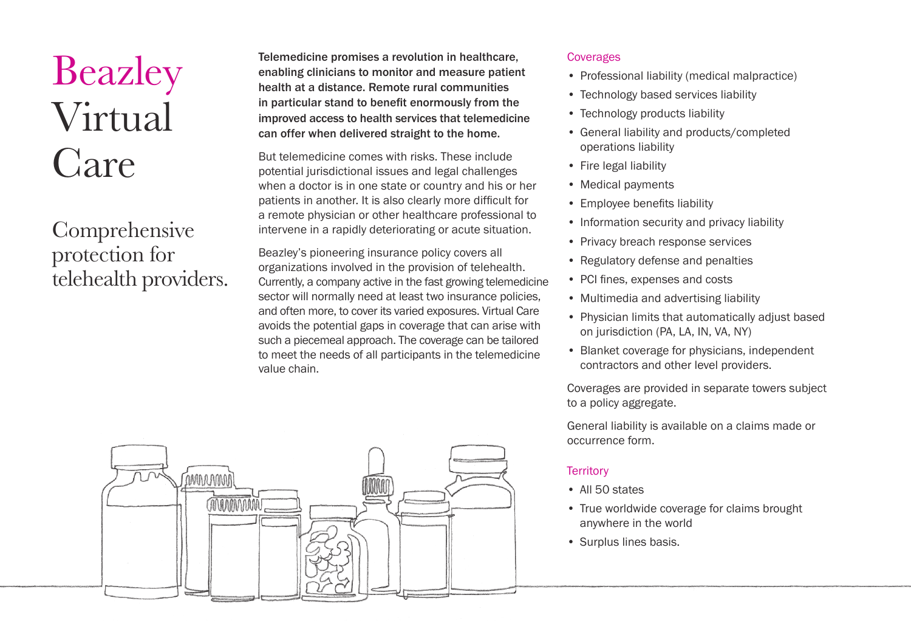# Beazley Virtual Care

# Comprehensive protection for telehealth providers.

Telemedicine promises a revolution in healthcare, enabling clinicians to monitor and measure patient health at a distance. Remote rural communities in particular stand to benefit enormously from the improved access to health services that telemedicine can offer when delivered straight to the home.

But telemedicine comes with risks. These include potential jurisdictional issues and legal challenges when a doctor is in one state or country and his or her patients in another. It is also clearly more difficult for a remote physician or other healthcare professional to intervene in a rapidly deteriorating or acute situation.

Beazley's pioneering insurance policy covers all organizations involved in the provision of telehealth. Currently, a company active in the fast growing telemedicine sector will normally need at least two insurance policies. and often more, to cover its varied exposures. Virtual Care avoids the potential gaps in coverage that can arise with such a piecemeal approach. The coverage can be tailored to meet the needs of all participants in the telemedicine value chain.



#### **Coverages**

- Professional liability (medical malpractice)
- Technology based services liability
- Technology products liability
- General liability and products/completed operations liability
- Fire legal liability
- Medical payments
- Employee benefits liability
- Information security and privacy liability
- Privacy breach response services
- Regulatory defense and penalties
- PCI fines, expenses and costs
- Multimedia and advertising liability
- Physician limits that automatically adjust based on jurisdiction (PA, LA, IN, VA, NY)
- Blanket coverage for physicians, independent contractors and other level providers.

Coverages are provided in separate towers subject to a policy aggregate.

General liability is available on a claims made or occurrence form.

## **Territory**

- All 50 states
- True worldwide coverage for claims brought anywhere in the world
- Surplus lines basis.